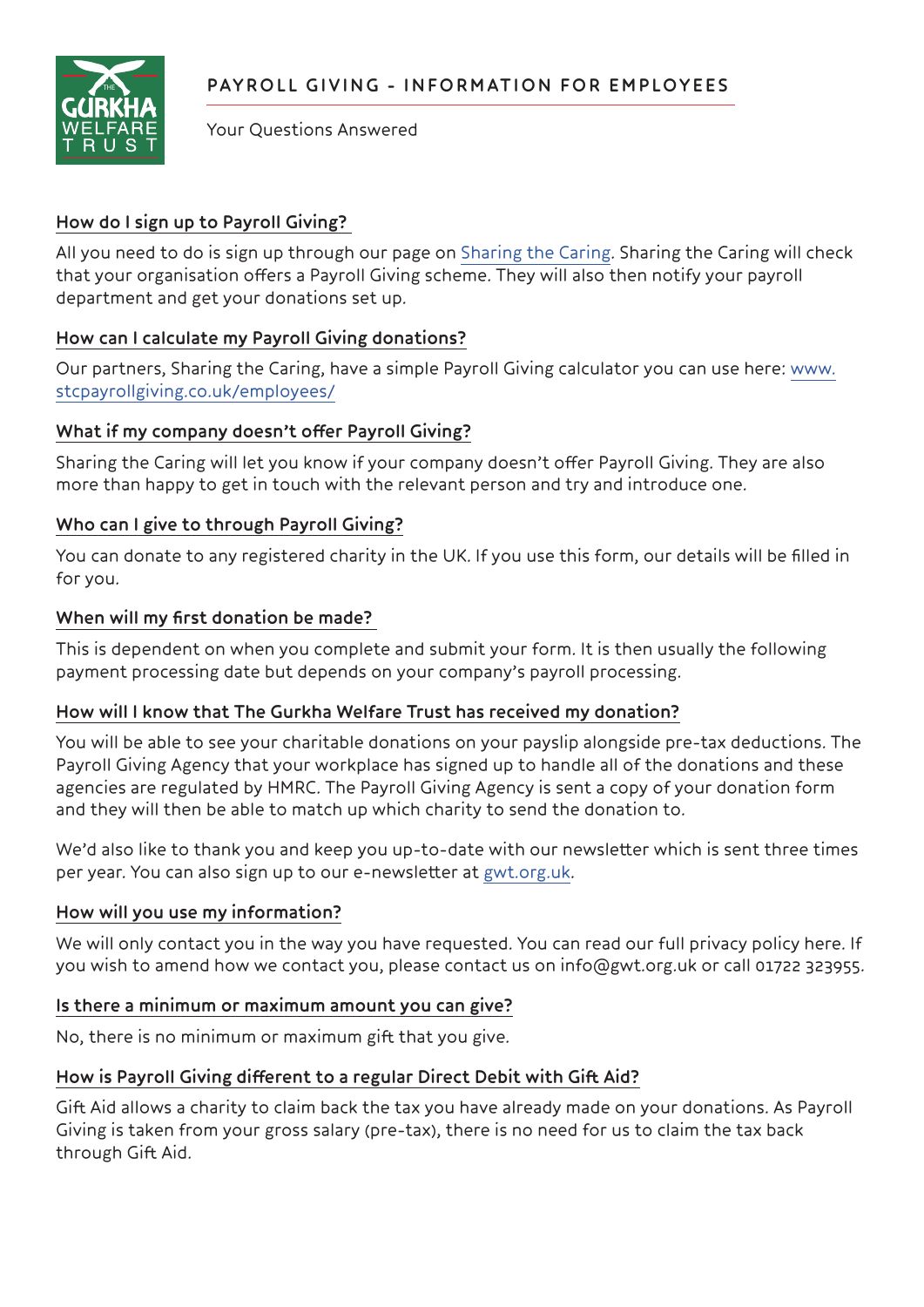

Your Questions Answered

# **How do I sign up to Payroll Giving?**

All you need to do is sign up through our page on [Sharing the Caring.](https://udon8.org/gwt) Sharing the Caring will check that your organisation offers a Payroll Giving scheme. They will also then notify your payroll department and get your donations set up.

# **How can I calculate my Payroll Giving donations?**

Our partners, Sharing the Caring, have a simple Payroll Giving calculator you can use here: [www.](http://www.stcpayrollgiving.co.uk/employees/) [stcpayrollgiving.co.uk/employees/](http://www.stcpayrollgiving.co.uk/employees/)

## **What if my company doesn't offer Payroll Giving?**

Sharing the Caring will let you know if your company doesn't offer Payroll Giving. They are also more than happy to get in touch with the relevant person and try and introduce one.

## **Who can I give to through Payroll Giving?**

You can donate to any registered charity in the UK. If you use this form, our details will be filled in for you.

#### **When will my first donation be made?**

This is dependent on when you complete and submit your form. It is then usually the following payment processing date but depends on your company's payroll processing.

## **How will I know that The Gurkha Welfare Trust has received my donation?**

You will be able to see your charitable donations on your payslip alongside pre-tax deductions. The Payroll Giving Agency that your workplace has signed up to handle all of the donations and these agencies are regulated by HMRC. The Payroll Giving Agency is sent a copy of your donation form and they will then be able to match up which charity to send the donation to.

We'd also like to thank you and keep you up-to-date with our newsletter which is sent three times per year. You can also sign up to our e-newsletter at [gwt.org.uk.](https://www.gwt.org.uk/)

#### **How will you use my information?**

We will only contact you in the way you have requested. You can read our full privacy policy here. If you wish to amend how we contact you, please contact us on info@gwt.org.uk or call 01722 323955.

## **Is there a minimum or maximum amount you can give?**

No, there is no minimum or maximum gift that you give.

## **How is Payroll Giving different to a regular Direct Debit with Gift Aid?**

Gift Aid allows a charity to claim back the tax you have already made on your donations. As Payroll Giving is taken from your gross salary (pre-tax), there is no need for us to claim the tax back through Gift Aid.